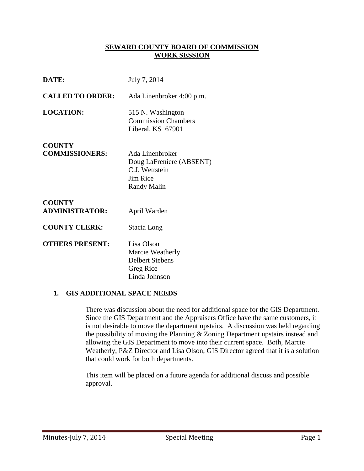## **SEWARD COUNTY BOARD OF COMMISSION WORK SESSION**

| DATE:                                  | July 7, 2014                                                                             |
|----------------------------------------|------------------------------------------------------------------------------------------|
| <b>CALLED TO ORDER:</b>                | Ada Linenbroker 4:00 p.m.                                                                |
| <b>LOCATION:</b>                       | 515 N. Washington<br><b>Commission Chambers</b><br>Liberal, KS 67901                     |
| <b>COUNTY</b><br><b>COMMISSIONERS:</b> | Ada Linenbroker<br>Doug LaFreniere (ABSENT)<br>C.J. Wettstein<br>Jim Rice<br>Randy Malin |
| <b>COUNTY</b><br><b>ADMINISTRATOR:</b> | April Warden                                                                             |
| <b>COUNTY CLERK:</b>                   | Stacia Long                                                                              |
| <b>OTHERS PRESENT:</b>                 | Lisa Olson<br>Marcie Weatherly<br><b>Delbert Stebens</b><br>Greg Rice<br>Linda Johnson   |

#### **1. GIS ADDITIONAL SPACE NEEDS**

There was discussion about the need for additional space for the GIS Department. Since the GIS Department and the Appraisers Office have the same customers, it is not desirable to move the department upstairs. A discussion was held regarding the possibility of moving the Planning & Zoning Department upstairs instead and allowing the GIS Department to move into their current space. Both, Marcie Weatherly, P&Z Director and Lisa Olson, GIS Director agreed that it is a solution that could work for both departments.

This item will be placed on a future agenda for additional discuss and possible approval.